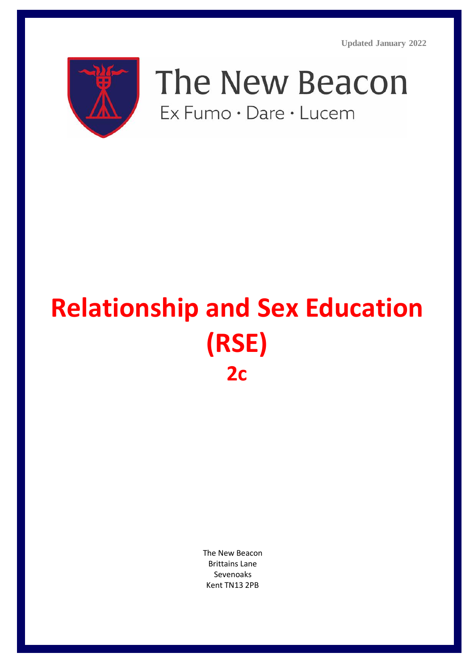**Updated January 2022**



The New Beacon Ex Fumo · Dare · Lucem

# **Relationship and Sex Education (RSE) 2c**

The New Beacon Brittains Lane Sevenoaks Kent TN13 2PB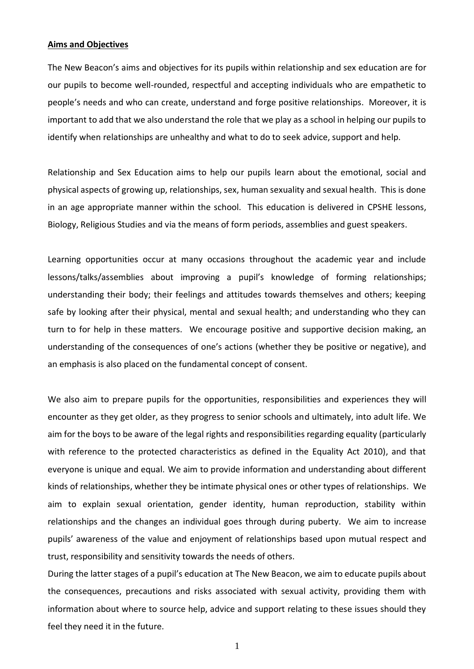#### **Aims and Objectives**

The New Beacon's aims and objectives for its pupils within relationship and sex education are for our pupils to become well-rounded, respectful and accepting individuals who are empathetic to people's needs and who can create, understand and forge positive relationships. Moreover, it is important to add that we also understand the role that we play as a school in helping our pupils to identify when relationships are unhealthy and what to do to seek advice, support and help.

Relationship and Sex Education aims to help our pupils learn about the emotional, social and physical aspects of growing up, relationships, sex, human sexuality and sexual health. This is done in an age appropriate manner within the school. This education is delivered in CPSHE lessons, Biology, Religious Studies and via the means of form periods, assemblies and guest speakers.

Learning opportunities occur at many occasions throughout the academic year and include lessons/talks/assemblies about improving a pupil's knowledge of forming relationships; understanding their body; their feelings and attitudes towards themselves and others; keeping safe by looking after their physical, mental and sexual health; and understanding who they can turn to for help in these matters. We encourage positive and supportive decision making, an understanding of the consequences of one's actions (whether they be positive or negative), and an emphasis is also placed on the fundamental concept of consent.

We also aim to prepare pupils for the opportunities, responsibilities and experiences they will encounter as they get older, as they progress to senior schools and ultimately, into adult life. We aim for the boys to be aware of the legal rights and responsibilities regarding equality (particularly with reference to the protected characteristics as defined in the Equality Act 2010), and that everyone is unique and equal. We aim to provide information and understanding about different kinds of relationships, whether they be intimate physical ones or other types of relationships. We aim to explain sexual orientation, gender identity, human reproduction, stability within relationships and the changes an individual goes through during puberty. We aim to increase pupils' awareness of the value and enjoyment of relationships based upon mutual respect and trust, responsibility and sensitivity towards the needs of others.

During the latter stages of a pupil's education at The New Beacon, we aim to educate pupils about the consequences, precautions and risks associated with sexual activity, providing them with information about where to source help, advice and support relating to these issues should they feel they need it in the future.

1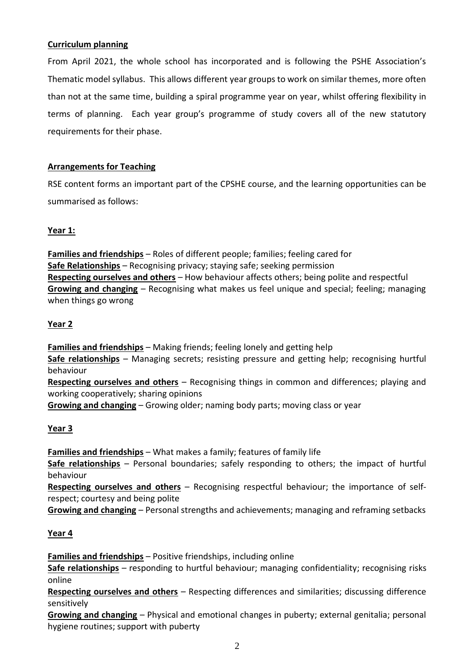## **Curriculum planning**

From April 2021, the whole school has incorporated and is following the PSHE Association's Thematic model syllabus. This allows different year groups to work on similar themes, more often than not at the same time, building a spiral programme year on year, whilst offering flexibility in terms of planning. Each year group's programme of study covers all of the new statutory requirements for their phase.

## **Arrangements for Teaching**

RSE content forms an important part of the CPSHE course, and the learning opportunities can be summarised as follows:

## **Year 1:**

**Families and friendships** – Roles of different people; families; feeling cared for **Safe Relationships** – Recognising privacy; staying safe; seeking permission **Respecting ourselves and others** – How behaviour affects others; being polite and respectful **Growing and changing** – Recognising what makes us feel unique and special; feeling; managing when things go wrong

## **Year 2**

**Families and friendships** – Making friends; feeling lonely and getting help

**Safe relationships** – Managing secrets; resisting pressure and getting help; recognising hurtful behaviour

**Respecting ourselves and others** – Recognising things in common and differences; playing and working cooperatively; sharing opinions

**Growing and changing** – Growing older; naming body parts; moving class or year

## **Year 3**

**Families and friendships** – What makes a family; features of family life

**Safe relationships** – Personal boundaries; safely responding to others; the impact of hurtful behaviour

**Respecting ourselves and others** – Recognising respectful behaviour; the importance of selfrespect; courtesy and being polite

**Growing and changing** – Personal strengths and achievements; managing and reframing setbacks

## **Year 4**

**Families and friendships** – Positive friendships, including online

**Safe relationships** – responding to hurtful behaviour; managing confidentiality; recognising risks online

**Respecting ourselves and others** – Respecting differences and similarities; discussing difference sensitively

**Growing and changing** – Physical and emotional changes in puberty; external genitalia; personal hygiene routines; support with puberty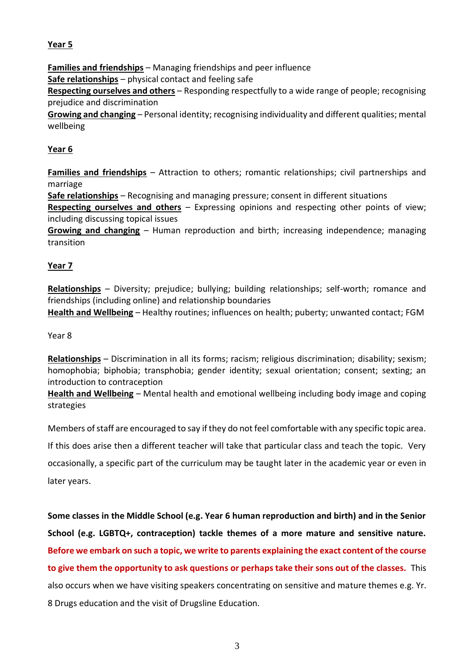## **Year 5**

**Families and friendships** – Managing friendships and peer influence **Safe relationships** – physical contact and feeling safe **Respecting ourselves and others** – Responding respectfully to a wide range of people; recognising prejudice and discrimination

**Growing and changing** – Personal identity; recognising individuality and different qualities; mental wellbeing

## **Year 6**

**Families and friendships** – Attraction to others; romantic relationships; civil partnerships and marriage

**Safe relationships** – Recognising and managing pressure; consent in different situations **Respecting ourselves and others** – Expressing opinions and respecting other points of view; including discussing topical issues

**Growing and changing** – Human reproduction and birth; increasing independence; managing transition

## **Year 7**

**Relationships** – Diversity; prejudice; bullying; building relationships; self-worth; romance and friendships (including online) and relationship boundaries

**Health and Wellbeing** – Healthy routines; influences on health; puberty; unwanted contact; FGM

### Year 8

**Relationships** – Discrimination in all its forms; racism; religious discrimination; disability; sexism; homophobia; biphobia; transphobia; gender identity; sexual orientation; consent; sexting; an introduction to contraception

**Health and Wellbeing** – Mental health and emotional wellbeing including body image and coping strategies

Members of staff are encouraged to say if they do not feel comfortable with any specific topic area.

If this does arise then a different teacher will take that particular class and teach the topic. Very occasionally, a specific part of the curriculum may be taught later in the academic year or even in later years.

**Some classes in the Middle School (e.g. Year 6 human reproduction and birth) and in the Senior School (e.g. LGBTQ+, contraception) tackle themes of a more mature and sensitive nature. Before we embark on such a topic, we write to parents explaining the exact content of the course to give them the opportunity to ask questions or perhaps take their sons out of the classes.** This also occurs when we have visiting speakers concentrating on sensitive and mature themes e.g. Yr. 8 Drugs education and the visit of Drugsline Education.